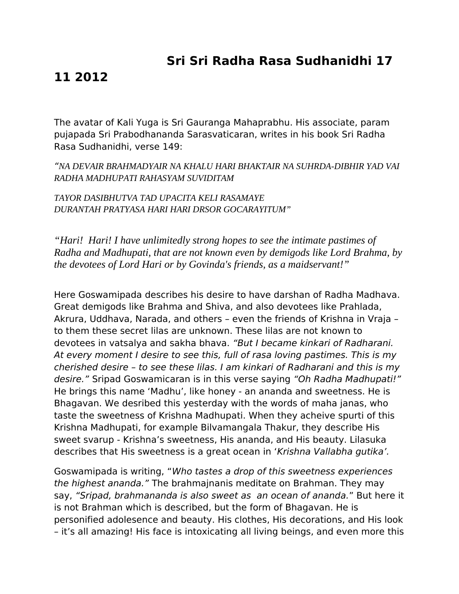## **Sri Sri Radha Rasa Sudhanidhi 17**

## **11 2012**

The avatar of Kali Yuga is Sri Gauranga Mahaprabhu. His associate, param pujapada Sri Prabodhananda Sarasvaticaran, writes in his book Sri Radha Rasa Sudhanidhi, verse 149:

"*NA DEVAIR BRAHMADYAIR NA KHALU HARI BHAKTAIR NA SUHRDA-DIBHIR YAD VAI RADHA MADHUPATI RAHASYAM SUVIDITAM*

*TAYOR DASIBHUTVA TAD UPACITA KELI RASAMAYE DURANTAH PRATYASA HARI HARI DRSOR GOCARAYITUM"*

*"Hari! Hari! I have unlimitedly strong hopes to see the intimate pastimes of Radha and Madhupati, that are not known even by demigods like Lord Brahma, by the devotees of Lord Hari or by Govinda's friends, as a maidservant!"*

Here Goswamipada describes his desire to have darshan of Radha Madhava. Great demigods like Brahma and Shiva, and also devotees like Prahlada, Akrura, Uddhava, Narada, and others – even the friends of Krishna in Vraja – to them these secret lilas are unknown. These lilas are not known to devotees in vatsalya and sakha bhava. "But I became kinkari of Radharani. At every moment I desire to see this, full of rasa loving pastimes. This is my cherished desire – to see these lilas. I am kinkari of Radharani and this is my desire." Sripad Goswamicaran is in this verse saying "Oh Radha Madhupati!" He brings this name 'Madhu', like honey - an ananda and sweetness. He is Bhagavan. We desribed this yesterday with the words of maha janas, who taste the sweetness of Krishna Madhupati. When they acheive spurti of this Krishna Madhupati, for example Bilvamangala Thakur, they describe His sweet svarup - Krishna's sweetness, His ananda, and His beauty. Lilasuka describes that His sweetness is a great ocean in 'Krishna Vallabha gutika'.

Goswamipada is writing, "Who tastes a drop of this sweetness experiences the highest ananda." The brahmajnanis meditate on Brahman. They may say, "Sripad, brahmananda is also sweet as an ocean of ananda." But here it is not Brahman which is described, but the form of Bhagavan. He is personified adolesence and beauty. His clothes, His decorations, and His look – it's all amazing! His face is intoxicating all living beings, and even more this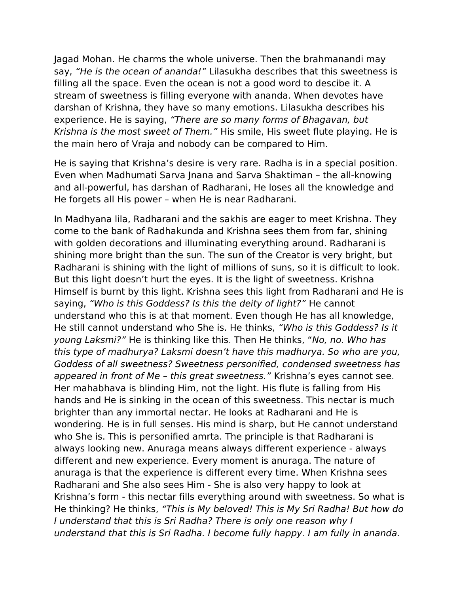Jagad Mohan. He charms the whole universe. Then the brahmanandi may say, "He is the ocean of ananda!" Lilasukha describes that this sweetness is filling all the space. Even the ocean is not a good word to descibe it. A stream of sweetness is filling everyone with ananda. When devotes have darshan of Krishna, they have so many emotions. Lilasukha describes his experience. He is saying, "There are so many forms of Bhagavan, but Krishna is the most sweet of Them." His smile, His sweet flute playing. He is the main hero of Vraja and nobody can be compared to Him.

He is saying that Krishna's desire is very rare. Radha is in a special position. Even when Madhumati Sarva Jnana and Sarva Shaktiman – the all-knowing and all-powerful, has darshan of Radharani, He loses all the knowledge and He forgets all His power – when He is near Radharani.

In Madhyana lila, Radharani and the sakhis are eager to meet Krishna. They come to the bank of Radhakunda and Krishna sees them from far, shining with golden decorations and illuminating everything around. Radharani is shining more bright than the sun. The sun of the Creator is very bright, but Radharani is shining with the light of millions of suns, so it is difficult to look. But this light doesn't hurt the eyes. It is the light of sweetness. Krishna Himself is burnt by this light. Krishna sees this light from Radharani and He is saying, "Who is this Goddess? Is this the deity of light?" He cannot understand who this is at that moment. Even though He has all knowledge, He still cannot understand who She is. He thinks, "Who is this Goddess? Is it young Laksmi?" He is thinking like this. Then He thinks, "No, no. Who has this type of madhurya? Laksmi doesn't have this madhurya. So who are you, Goddess of all sweetness? Sweetness personified, condensed sweetness has appeared in front of Me – this great sweetness." Krishna's eyes cannot see. Her mahabhava is blinding Him, not the light. His flute is falling from His hands and He is sinking in the ocean of this sweetness. This nectar is much brighter than any immortal nectar. He looks at Radharani and He is wondering. He is in full senses. His mind is sharp, but He cannot understand who She is. This is personified amrta. The principle is that Radharani is always looking new. Anuraga means always different experience - always different and new experience. Every moment is anuraga. The nature of anuraga is that the experience is different every time. When Krishna sees Radharani and She also sees Him - She is also very happy to look at Krishna's form - this nectar fills everything around with sweetness. So what is He thinking? He thinks, "This is My beloved! This is My Sri Radha! But how do I understand that this is Sri Radha? There is only one reason why I understand that this is Sri Radha. I become fully happy. I am fully in ananda.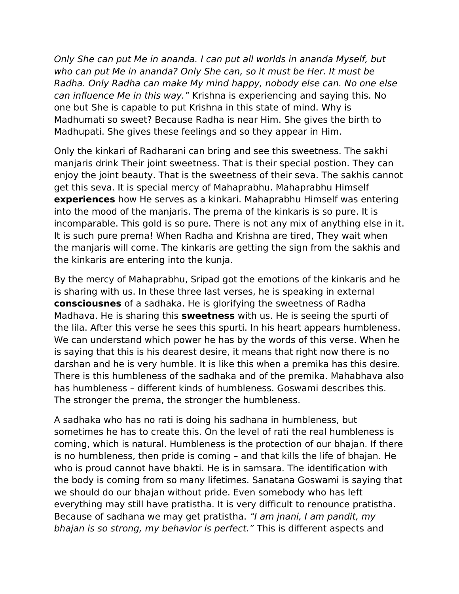Only She can put Me in ananda. I can put all worlds in ananda Myself, but who can put Me in ananda? Only She can, so it must be Her. It must be Radha. Only Radha can make My mind happy, nobody else can. No one else can influence Me in this way." Krishna is experiencing and saying this. No one but She is capable to put Krishna in this state of mind. Why is Madhumati so sweet? Because Radha is near Him. She gives the birth to Madhupati. She gives these feelings and so they appear in Him.

Only the kinkari of Radharani can bring and see this sweetness. The sakhi manjaris drink Their joint sweetness. That is their special postion. They can enjoy the joint beauty. That is the sweetness of their seva. The sakhis cannot get this seva. It is special mercy of Mahaprabhu. Mahaprabhu Himself **experiences** how He serves as a kinkari. Mahaprabhu Himself was entering into the mood of the manjaris. The prema of the kinkaris is so pure. It is incomparable. This gold is so pure. There is not any mix of anything else in it. It is such pure prema! When Radha and Krishna are tired, They wait when the manjaris will come. The kinkaris are getting the sign from the sakhis and the kinkaris are entering into the kunja.

By the mercy of Mahaprabhu, Sripad got the emotions of the kinkaris and he is sharing with us. In these three last verses, he is speaking in external **consciousnes** of a sadhaka. He is glorifying the sweetness of Radha Madhava. He is sharing this **sweetness** with us. He is seeing the spurti of the lila. After this verse he sees this spurti. In his heart appears humbleness. We can understand which power he has by the words of this verse. When he is saying that this is his dearest desire, it means that right now there is no darshan and he is very humble. It is like this when a premika has this desire. There is this humbleness of the sadhaka and of the premika. Mahabhava also has humbleness – different kinds of humbleness. Goswami describes this. The stronger the prema, the stronger the humbleness.

A sadhaka who has no rati is doing his sadhana in humbleness, but sometimes he has to create this. On the level of rati the real humbleness is coming, which is natural. Humbleness is the protection of our bhajan. If there is no humbleness, then pride is coming – and that kills the life of bhajan. He who is proud cannot have bhakti. He is in samsara. The identification with the body is coming from so many lifetimes. Sanatana Goswami is saying that we should do our bhajan without pride. Even somebody who has left everything may still have pratistha. It is very difficult to renounce pratistha. Because of sadhana we may get pratistha. "I am jnani, I am pandit, my bhajan is so strong, my behavior is perfect." This is different aspects and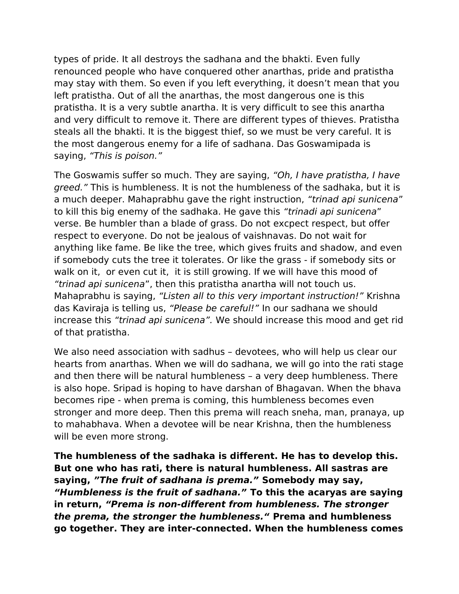types of pride. It all destroys the sadhana and the bhakti. Even fully renounced people who have conquered other anarthas, pride and pratistha may stay with them. So even if you left everything, it doesn't mean that you left pratistha. Out of all the anarthas, the most dangerous one is this pratistha. It is a very subtle anartha. It is very difficult to see this anartha and very difficult to remove it. There are different types of thieves. Pratistha steals all the bhakti. It is the biggest thief, so we must be very careful. It is the most dangerous enemy for a life of sadhana. Das Goswamipada is saying, "This is poison."

The Goswamis suffer so much. They are saying, "Oh, I have pratistha, I have greed." This is humbleness. It is not the humbleness of the sadhaka, but it is a much deeper. Mahaprabhu gave the right instruction, "trinad api sunicena" to kill this big enemy of the sadhaka. He gave this "trinadi api sunicena" verse. Be humbler than a blade of grass. Do not excpect respect, but offer respect to everyone. Do not be jealous of vaishnavas. Do not wait for anything like fame. Be like the tree, which gives fruits and shadow, and even if somebody cuts the tree it tolerates. Or like the grass - if somebody sits or walk on it, or even cut it, it is still growing. If we will have this mood of "trinad api sunicena", then this pratistha anartha will not touch us. Mahaprabhu is saying, "Listen all to this very important instruction!" Krishna das Kaviraja is telling us, "Please be careful!" In our sadhana we should increase this "trinad api sunicena". We should increase this mood and get rid of that pratistha.

We also need association with sadhus – devotees, who will help us clear our hearts from anarthas. When we will do sadhana, we will go into the rati stage and then there will be natural humbleness – a very deep humbleness. There is also hope. Sripad is hoping to have darshan of Bhagavan. When the bhava becomes ripe - when prema is coming, this humbleness becomes even stronger and more deep. Then this prema will reach sneha, man, pranaya, up to mahabhava. When a devotee will be near Krishna, then the humbleness will be even more strong.

**The humbleness of the sadhaka is different. He has to develop this. But one who has rati, there is natural humbleness. All sastras are saying, "The fruit of sadhana is prema." Somebody may say, "Humbleness is the fruit of sadhana." To this the acaryas are saying in return, "Prema is non-different from humbleness. The stronger the prema, the stronger the humbleness." Prema and humbleness go together. They are inter-connected. When the humbleness comes**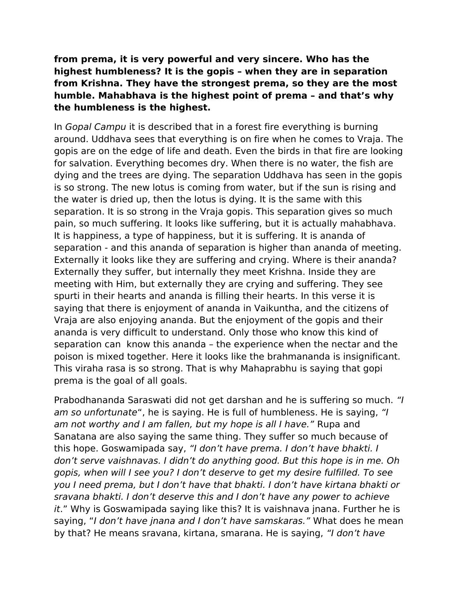**from prema, it is very powerful and very sincere. Who has the highest humbleness? It is the gopis – when they are in separation from Krishna. They have the strongest prema, so they are the most humble. Mahabhava is the highest point of prema – and that's why the humbleness is the highest.** 

In Gopal Campu it is described that in a forest fire everything is burning around. Uddhava sees that everything is on fire when he comes to Vraja. The gopis are on the edge of life and death. Even the birds in that fire are looking for salvation. Everything becomes dry. When there is no water, the fish are dying and the trees are dying. The separation Uddhava has seen in the gopis is so strong. The new lotus is coming from water, but if the sun is rising and the water is dried up, then the lotus is dying. It is the same with this separation. It is so strong in the Vraja gopis. This separation gives so much pain, so much suffering. It looks like suffering, but it is actually mahabhava. It is happiness, a type of happiness, but it is suffering. It is ananda of separation - and this ananda of separation is higher than ananda of meeting. Externally it looks like they are suffering and crying. Where is their ananda? Externally they suffer, but internally they meet Krishna. Inside they are meeting with Him, but externally they are crying and suffering. They see spurti in their hearts and ananda is filling their hearts. In this verse it is saying that there is enjoyment of ananda in Vaikuntha, and the citizens of Vraja are also enjoying ananda. But the enjoyment of the gopis and their ananda is very difficult to understand. Only those who know this kind of separation can know this ananda – the experience when the nectar and the poison is mixed together. Here it looks like the brahmananda is insignificant. This viraha rasa is so strong. That is why Mahaprabhu is saying that gopi prema is the goal of all goals.

Prabodhananda Saraswati did not get darshan and he is suffering so much. "I am so unfortunate", he is saying. He is full of humbleness. He is saying, "I am not worthy and I am fallen, but my hope is all I have." Rupa and Sanatana are also saying the same thing. They suffer so much because of this hope. Goswamipada say, "I don't have prema. I don't have bhakti. I don't serve vaishnavas. I didn't do anything good. But this hope is in me. Oh gopis, when will I see you? I don't deserve to get my desire fulfilled. To see you I need prema, but I don't have that bhakti. I don't have kirtana bhakti or sravana bhakti. I don't deserve this and I don't have any power to achieve it." Why is Goswamipada saying like this? It is vaishnava jnana. Further he is saying, "I don't have jnana and I don't have samskaras." What does he mean by that? He means sravana, kirtana, smarana. He is saying, "I don't have